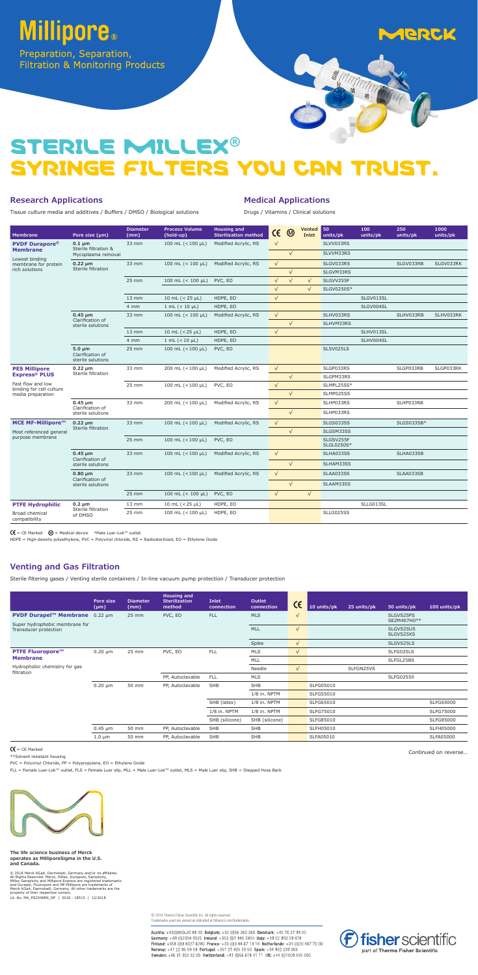# **Millipore**®

Preparation, Separation, Filtration & Monitoring Products



# STERILE MILLEX**®** SYRINGE FILTERS YOU CAN TRUST.

### **Research Applications**

Tissue culture media and additives / Buffers / DMSO / Biological solutions

#### **Medical Applications**

Drugs / Vitamins / Clinical solutions

HDPE = High-density polyethylene, PVC = Polyvinyl chloride, RS = Radiosterilized, EO = Ethylene Oxide

#### **Venting and Gas Filtration**

Sterile filtering gases / Venting sterile containers / In-line vacuum pump protection / Transducer protection

|                                                         | Pore size<br>$(\mu m)$ | <b>Diameter</b><br>(mm) | <b>Housing and</b><br><b>Sterilization</b><br>method | <b>Inlet</b><br>connection | Outlet<br>connection | CE         | 10 units/pk | 25 units/pk | 50 units/pk              | 100 units/pk     |
|---------------------------------------------------------|------------------------|-------------------------|------------------------------------------------------|----------------------------|----------------------|------------|-------------|-------------|--------------------------|------------------|
| <b>PVDF Durapel™ Membrane</b>                           | $0.22 \mu m$           | 25 mm                   | PVC, EO                                              | <b>FLL</b>                 | <b>MLS</b>           | $\sqrt{}$  |             |             | SLGVS25PS<br>SE2M407H0** |                  |
| Super hydrophobic membrane for<br>Transducer protection |                        |                         |                                                      |                            | MLL                  | $\sqrt{}$  |             |             | SLGVS25US<br>SLGVS25XS   |                  |
|                                                         |                        |                         |                                                      |                            | Spike                | $\sqrt{ }$ |             |             | SLGVS25LS                |                  |
| <b>PTFE Fluoropore™</b>                                 | $0.20 \mu m$           | 25 mm                   | PVC, EO                                              | <b>FLL</b>                 | MLS                  | $\sqrt{ }$ |             |             | SLFG025LS                |                  |
| <b>Membrane</b>                                         |                        |                         |                                                      |                            | MLL                  |            |             |             | SLFGL25BS                |                  |
| Hydrophobic chemistry for gas<br>filtration             |                        |                         |                                                      |                            | Needle               | $\sqrt{ }$ |             | SLFGN25VS   |                          |                  |
|                                                         |                        |                         | PP, Autoclavable                                     | <b>FLL</b>                 | MLS                  |            |             |             | SLFG02550                |                  |
|                                                         | $0.20 \mu m$           | 50 mm                   | PP, Autoclavable                                     | <b>SHB</b>                 | <b>SHB</b>           |            | SLFG05010   |             |                          |                  |
|                                                         |                        |                         |                                                      |                            | 1/8 in. NPTM         |            | SLFG55010   |             |                          |                  |
|                                                         |                        |                         |                                                      | SHB (latex)                | 1/8 in. NPTM         |            | SLFG65010   |             |                          | SLFG65000        |
|                                                         |                        |                         |                                                      | 1/8 in. NPTM               | 1/8 in. NPTM         |            | SLFG75010   |             |                          | SLFG75000        |
|                                                         |                        |                         |                                                      | SHB (silicone)             | SHB (silicone)       |            | SLFG85010   |             |                          | SLFG85000        |
|                                                         | $0.45 \mu m$           | 50 mm                   | PP, Autoclavable                                     | <b>SHB</b>                 | <b>SHB</b>           |            | SLFH05010   |             |                          | <b>SLFH05000</b> |
|                                                         | $1.0 \mu m$            | 50 mm                   | PP, Autoclavable                                     | SHB                        | <b>SHB</b>           |            | SLFA05010   |             |                          | SLFA05000        |

#### $C = CE$  Marked

\*\*Solvent resistant housing

PVC = Polyvinyl Chloride, PP = Polypropylene, EO = Ethylene Oxide

FLL = Female Luer-Lok™ outlet, FLS = Female Luer slip, MLL = Male Luer-Lok™ outlet, MLS = Male Luer slip, SHB = Stepped Hose Barb



Continued on reverse…

© 2018 Merck KGaA, Darmstadt, Germany and/or its affiliates.<br>All Rights Reserved. Merck, Millex, Durapore, Samplicity,<br>Millex Samplicity and Millipore Express are registered trademarks<br>and Durapel, Fluoropore and MF-Millip property of their respective owners Lit. No. MK\_PS2549EN\_DP | 2018 - 18515 | 12/2018

| <b>Membrane</b>                               | Pore size (µm)                                       | <b>Diameter</b><br>(mm) | <b>Process Volume</b><br>(hold-up) | <b>Housing and</b><br><b>Sterilization method</b> | $\epsilon$ | $\circledR$ | <b>Vented</b><br>Inlet | $\blacksquare$ 50<br>units/pk | 100<br>units/pk | 250<br>units/pk | 1000<br>units/pk |
|-----------------------------------------------|------------------------------------------------------|-------------------------|------------------------------------|---------------------------------------------------|------------|-------------|------------------------|-------------------------------|-----------------|-----------------|------------------|
| <b>PVDF Durapore®</b>                         | $0.1 \mu m$                                          | 33 mm                   | 100 mL $(< 100 \mu L)$             | Modified Acrylic, RS                              | $\sqrt{ }$ |             |                        | SLVV033RS                     |                 |                 |                  |
| <b>Membrane</b>                               | Sterile filtration &<br>Mycoplasma removal           |                         |                                    |                                                   |            | $\sqrt{}$   |                        | SLVVM33RS                     |                 |                 |                  |
| Lowest binding<br>membrane for protein        | $0.22 \mu m$                                         | 33 mm                   | 100 mL $(< 100 \mu L)$             | Modified Acrylic, RS                              | $\sqrt{ }$ |             |                        | SLGV033RS                     |                 | SLGV033RB       | SLGV033RK        |
| rich solutions                                | Sterile filtration                                   |                         |                                    |                                                   |            | $\sqrt{}$   |                        | SLGVM33RS                     |                 |                 |                  |
|                                               |                                                      | 25 mm                   | 100 mL $(< 100 \mu L)$             | PVC, EO                                           | $\sqrt{}$  | $\sqrt{}$   | $\sqrt{ }$             | SLGVV255F                     |                 |                 |                  |
|                                               |                                                      |                         |                                    |                                                   | $\sqrt{}$  |             | $\sqrt{}$              | SLGV0250S*                    |                 |                 |                  |
|                                               |                                                      | $13 \, \text{mm}$       | 10 mL $(< 25 \mu L)$               | HDPE, EO                                          | $\sqrt{}$  |             |                        |                               | SLGV013SL       |                 |                  |
|                                               |                                                      | 4 mm                    | $1 mL (< 10 \mu L)$                | HDPE, EO                                          |            |             |                        |                               | SLGV004SL       |                 |                  |
|                                               | $0.45 \mu m$<br>Clarification of                     | 33 mm                   | 100 mL $(< 100 \mu L)$             | Modified Acrylic, RS                              | $\sqrt{ }$ |             |                        | SLHV033RS                     |                 | SLHV033RB       | SLHV033RK        |
|                                               | sterile solutions                                    |                         |                                    |                                                   |            | $\sqrt{}$   |                        | SLHVM33RS                     |                 |                 |                  |
|                                               |                                                      | $13 \text{ mm}$         | 10 mL $(< 25 \mu L)$               | HDPE, EO                                          | $\sqrt{ }$ |             |                        |                               | SLHV013SL       |                 |                  |
|                                               |                                                      | 4 mm                    | 1 mL $(< 10 \mu L)$                | HDPE, EO                                          |            |             |                        |                               | SLHV004SL       |                 |                  |
|                                               | $5.0 \mu m$<br>Clarification of<br>sterile solutions | 25 mm                   | 100 mL $(< 100 \mu L)$             | PVC, EO                                           |            |             |                        | SLSV025LS                     |                 |                 |                  |
| <b>PES Millipore</b>                          | $0.22 \mu m$                                         | 33 mm                   | 200 mL (<100 µL)                   | Modified Acrylic, RS                              | $\sqrt{ }$ |             |                        | SLGP033RS                     |                 | SLGP033RB       | SLGP033RK        |
| <b>Express® PLUS</b>                          | Sterile filtration                                   |                         |                                    |                                                   |            | $\sqrt{}$   |                        | SLGPM33RS                     |                 |                 |                  |
| Fast flow and low<br>binding for cell culture |                                                      | 25 mm                   | 100 mL $(< 100 \mu L)$             | PVC, EO                                           | $\sqrt{}$  |             |                        | SLMPL25SS*                    |                 |                 |                  |
| media preparation                             |                                                      |                         |                                    |                                                   |            | $\sqrt{}$   |                        | SLMP025SS                     |                 |                 |                  |
|                                               | $0.45 \mu m$<br>Clarification of                     | 33 mm                   | 200 mL (<100 µL)                   | Modified Acrylic, RS                              | $\sqrt{}$  |             |                        | SLHP033RS                     |                 | SLHP033RB       |                  |
|                                               | sterile solutions                                    |                         |                                    |                                                   |            | $\sqrt{}$   |                        | SLHP033RS                     |                 |                 |                  |
| MCE MF-Millipore™                             | $0.22 \mu m$                                         | 33 mm                   | 100 mL $(< 100 \mu L)$             | Modified Acrylic, RS                              | $\sqrt{ }$ |             |                        | SLGS033SS                     |                 | SLGS033SB*      |                  |
| Most referenced general                       | Sterile filtration                                   |                         |                                    |                                                   |            | $\sqrt{}$   |                        | SLGSM33SS                     |                 |                 |                  |
| purpose membrane                              |                                                      | 25 mm                   | 100 mL $(< 100 \mu L)$             | PVC, EO                                           |            |             |                        | SLGSV255F<br>SLGL0250S*       |                 |                 |                  |
|                                               | $0.45 \mu m$                                         | 33 mm                   | 100 mL $(< 100 \mu L)$             | Modified Acrylic, RS                              | $\sqrt{ }$ |             |                        | SLHA033SS                     |                 | SLHA033SB       |                  |
|                                               | Clarification of<br>sterile solutions                |                         |                                    |                                                   |            | $\sqrt{}$   |                        | SLHAM33SS                     |                 |                 |                  |
|                                               | $0.80 \mu m$<br>Clarification of                     | 33 mm                   | 100 mL $(< 100 \mu L)$             | Modified Acrylic, RS                              | $\sqrt{}$  |             |                        | SLAA033SS                     |                 | SLAA033SB       |                  |
|                                               | sterile solutions                                    |                         |                                    |                                                   |            | $\sqrt{}$   |                        | SLAAM33SS                     |                 |                 |                  |
|                                               |                                                      | 25 mm                   | 100 mL ( $<$ 100 µL)               | PVC, EO                                           | $\sqrt{}$  |             | $\sqrt{}$              |                               |                 |                 |                  |
| <b>PTFE Hydrophilic</b>                       | $0.2 \mu m$                                          | $13 \text{ mm}$         | 10 mL $(< 25 \mu L)$               | HDPE, EO                                          |            |             |                        |                               | SLLG013SL       |                 |                  |
| Broad chemical<br>compatibility               | Sterile filtration<br>of DMSO                        | 25 mm                   | 100 mL $(< 100 \mu L)$             | HDPE, EO                                          |            |             |                        | SLLG025SS                     |                 |                 |                  |

 $C = CE$  Marked  $Q = Medical$  device \*Male Luer-Lok™ outlet

**The life science business of Merck operates as MilliporeSigma in the U.S. and Canada.**

> © 2018 Thermo Fisher Scientific Inc. All rights reserved. Trademarks used are owned as indicated at fishersci.com/trademarks.

Austria: +43(0)800-20 88 40 Belgium: +32 (0)56 260 260 Denmark: +45 70 27 99 20 Germany: +49 (0)2304 9325 Ireland: +353 (0)1 885 5854 Italy: +39 02 950 59 478 Finland: +358 (0)9 8027 6280 France: +33 (0)3 88 67 14 14 Netherlands: +31 (0)20 487 70 00 Norway: +47 22 95 59 59 Portugal: +351 21 425 33 50 Spain: +34 902 239 303 Sweden: +46 31 352 32 00 Switzerland: +41 (0)56 618 41 11 UK: +44 (0)1509 555 500